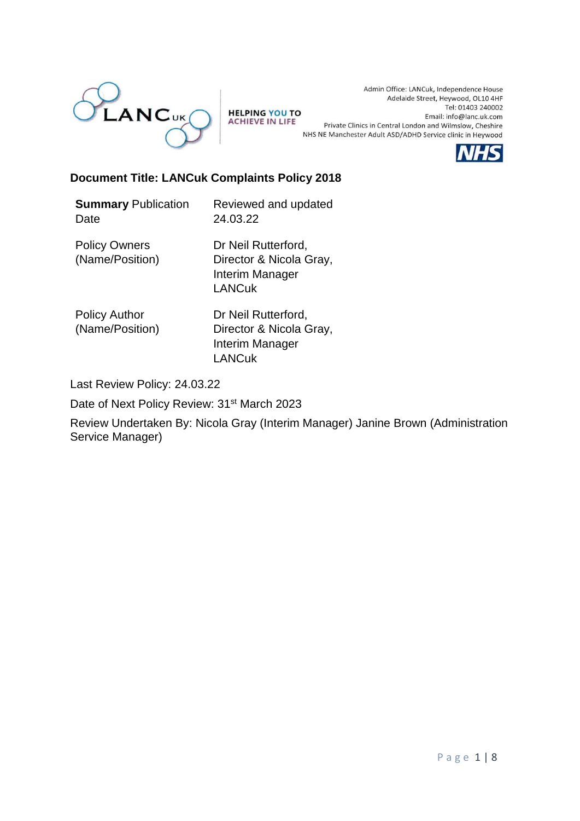

**HELPING YOU TO ACHIEVE IN LIFE** 

Admin Office: LANCuk, Independence House Adelaide Street, Heywood, OL10 4HF Tel: 01403 240002 Email: info@lanc.uk.com Private Clinics in Central London and Wilmslow, Cheshire NHS NE Manchester Adult ASD/ADHD Service clinic in Heywood



### **Document Title: LANCuk Complaints Policy 2018**

**Summary** Publication Date Reviewed and updated 24.03.22 Policy Owners (Name/Position) Dr Neil Rutterford, Director & Nicola Gray, Interim Manager LANCuk

Policy Author (Name/Position) Dr Neil Rutterford, Director & Nicola Gray, Interim Manager LANCuk

Last Review Policy: 24.03.22

Date of Next Policy Review: 31<sup>st</sup> March 2023

Review Undertaken By: Nicola Gray (Interim Manager) Janine Brown (Administration Service Manager)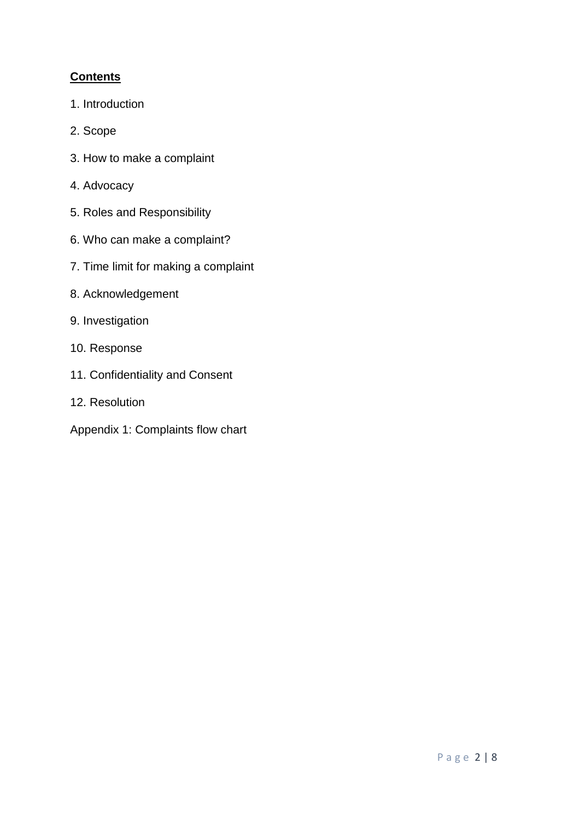## **Contents**

- 1. Introduction
- 2. Scope
- 3. How to make a complaint
- 4. Advocacy
- 5. Roles and Responsibility
- 6. Who can make a complaint?
- 7. Time limit for making a complaint
- 8. Acknowledgement
- 9. Investigation
- 10. Response
- 11. Confidentiality and Consent
- 12. Resolution
- Appendix 1: Complaints flow chart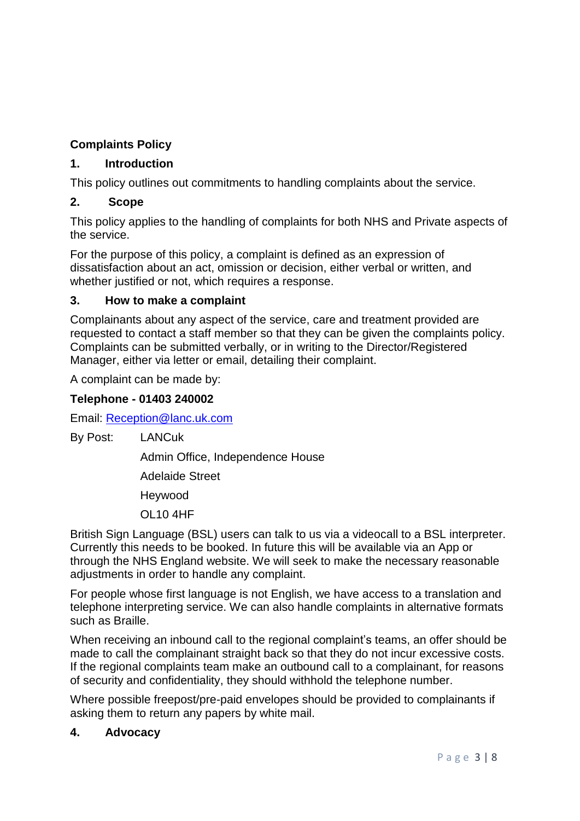# **Complaints Policy**

# **1. Introduction**

This policy outlines out commitments to handling complaints about the service.

## **2. Scope**

This policy applies to the handling of complaints for both NHS and Private aspects of the service.

For the purpose of this policy, a complaint is defined as an expression of dissatisfaction about an act, omission or decision, either verbal or written, and whether justified or not, which requires a response.

## **3. How to make a complaint**

Complainants about any aspect of the service, care and treatment provided are requested to contact a staff member so that they can be given the complaints policy. Complaints can be submitted verbally, or in writing to the Director/Registered Manager, either via letter or email, detailing their complaint.

A complaint can be made by:

## **Telephone - 01403 240002**

Email: [Reception@lanc.uk.com](mailto:Reception@lanc.uk.com)

By Post: LANCuk

Admin Office, Independence House

Adelaide Street

Heywood

OL10 4HF

British Sign Language (BSL) users can talk to us via a videocall to a BSL interpreter. Currently this needs to be booked. In future this will be available via an App or through the NHS England website. We will seek to make the necessary reasonable adjustments in order to handle any complaint.

For people whose first language is not English, we have access to a translation and telephone interpreting service. We can also handle complaints in alternative formats such as Braille.

When receiving an inbound call to the regional complaint's teams, an offer should be made to call the complainant straight back so that they do not incur excessive costs. If the regional complaints team make an outbound call to a complainant, for reasons of security and confidentiality, they should withhold the telephone number.

Where possible freepost/pre-paid envelopes should be provided to complainants if asking them to return any papers by white mail.

## **4. Advocacy**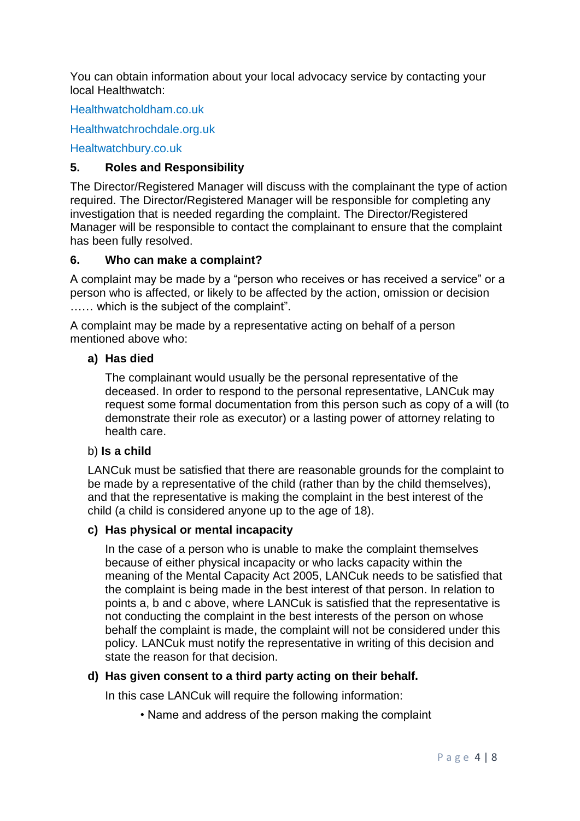You can obtain information about your local advocacy service by contacting your local Healthwatch:

Healthwatcholdham.co.uk

Healthwatchrochdale.org.uk

Healtwatchbury.co.uk

### **5. Roles and Responsibility**

The Director/Registered Manager will discuss with the complainant the type of action required. The Director/Registered Manager will be responsible for completing any investigation that is needed regarding the complaint. The Director/Registered Manager will be responsible to contact the complainant to ensure that the complaint has been fully resolved.

### **6. Who can make a complaint?**

A complaint may be made by a "person who receives or has received a service" or a person who is affected, or likely to be affected by the action, omission or decision …… which is the subject of the complaint".

A complaint may be made by a representative acting on behalf of a person mentioned above who:

#### **a) Has died**

The complainant would usually be the personal representative of the deceased. In order to respond to the personal representative, LANCuk may request some formal documentation from this person such as copy of a will (to demonstrate their role as executor) or a lasting power of attorney relating to health care.

#### b) **Is a child**

LANCuk must be satisfied that there are reasonable grounds for the complaint to be made by a representative of the child (rather than by the child themselves), and that the representative is making the complaint in the best interest of the child (a child is considered anyone up to the age of 18).

#### **c) Has physical or mental incapacity**

In the case of a person who is unable to make the complaint themselves because of either physical incapacity or who lacks capacity within the meaning of the Mental Capacity Act 2005, LANCuk needs to be satisfied that the complaint is being made in the best interest of that person. In relation to points a, b and c above, where LANCuk is satisfied that the representative is not conducting the complaint in the best interests of the person on whose behalf the complaint is made, the complaint will not be considered under this policy. LANCuk must notify the representative in writing of this decision and state the reason for that decision.

### **d) Has given consent to a third party acting on their behalf.**

In this case LANCuk will require the following information:

• Name and address of the person making the complaint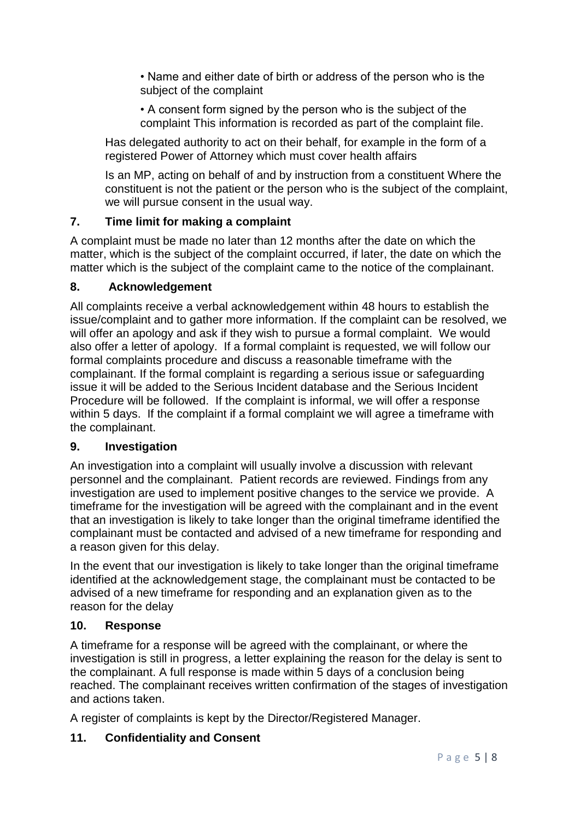• Name and either date of birth or address of the person who is the subject of the complaint

• A consent form signed by the person who is the subject of the complaint This information is recorded as part of the complaint file.

Has delegated authority to act on their behalf, for example in the form of a registered Power of Attorney which must cover health affairs

Is an MP, acting on behalf of and by instruction from a constituent Where the constituent is not the patient or the person who is the subject of the complaint, we will pursue consent in the usual way.

## **7. Time limit for making a complaint**

A complaint must be made no later than 12 months after the date on which the matter, which is the subject of the complaint occurred, if later, the date on which the matter which is the subject of the complaint came to the notice of the complainant.

## **8. Acknowledgement**

All complaints receive a verbal acknowledgement within 48 hours to establish the issue/complaint and to gather more information. If the complaint can be resolved, we will offer an apology and ask if they wish to pursue a formal complaint. We would also offer a letter of apology. If a formal complaint is requested, we will follow our formal complaints procedure and discuss a reasonable timeframe with the complainant. If the formal complaint is regarding a serious issue or safeguarding issue it will be added to the Serious Incident database and the Serious Incident Procedure will be followed. If the complaint is informal, we will offer a response within 5 days. If the complaint if a formal complaint we will agree a timeframe with the complainant.

## **9. Investigation**

An investigation into a complaint will usually involve a discussion with relevant personnel and the complainant. Patient records are reviewed. Findings from any investigation are used to implement positive changes to the service we provide. A timeframe for the investigation will be agreed with the complainant and in the event that an investigation is likely to take longer than the original timeframe identified the complainant must be contacted and advised of a new timeframe for responding and a reason given for this delay.

In the event that our investigation is likely to take longer than the original timeframe identified at the acknowledgement stage, the complainant must be contacted to be advised of a new timeframe for responding and an explanation given as to the reason for the delay

## **10. Response**

A timeframe for a response will be agreed with the complainant, or where the investigation is still in progress, a letter explaining the reason for the delay is sent to the complainant. A full response is made within 5 days of a conclusion being reached. The complainant receives written confirmation of the stages of investigation and actions taken.

A register of complaints is kept by the Director/Registered Manager.

# **11. Confidentiality and Consent**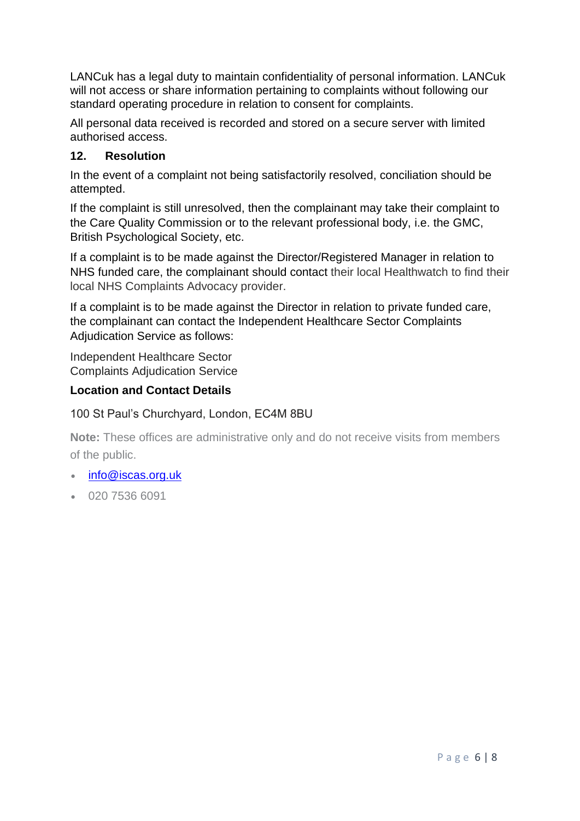LANCuk has a legal duty to maintain confidentiality of personal information. LANCuk will not access or share information pertaining to complaints without following our standard operating procedure in relation to consent for complaints.

All personal data received is recorded and stored on a secure server with limited authorised access.

## **12. Resolution**

In the event of a complaint not being satisfactorily resolved, conciliation should be attempted.

If the complaint is still unresolved, then the complainant may take their complaint to the Care Quality Commission or to the relevant professional body, i.e. the GMC, British Psychological Society, etc.

If a complaint is to be made against the Director/Registered Manager in relation to NHS funded care, the complainant should contact their local Healthwatch to find their local NHS Complaints Advocacy provider.

If a complaint is to be made against the Director in relation to private funded care, the complainant can contact the Independent Healthcare Sector Complaints Adjudication Service as follows:

Independent Healthcare Sector Complaints Adjudication Service

## **Location and Contact Details**

## 100 St Paul's Churchyard, London, EC4M 8BU

**Note:** These offices are administrative only and do not receive visits from members of the public.

- [info@iscas.org.uk](mailto:info@iscas.org.uk?subject=Enquiry%20from%20the%20ISCAS%20website)
- 020 7536 6091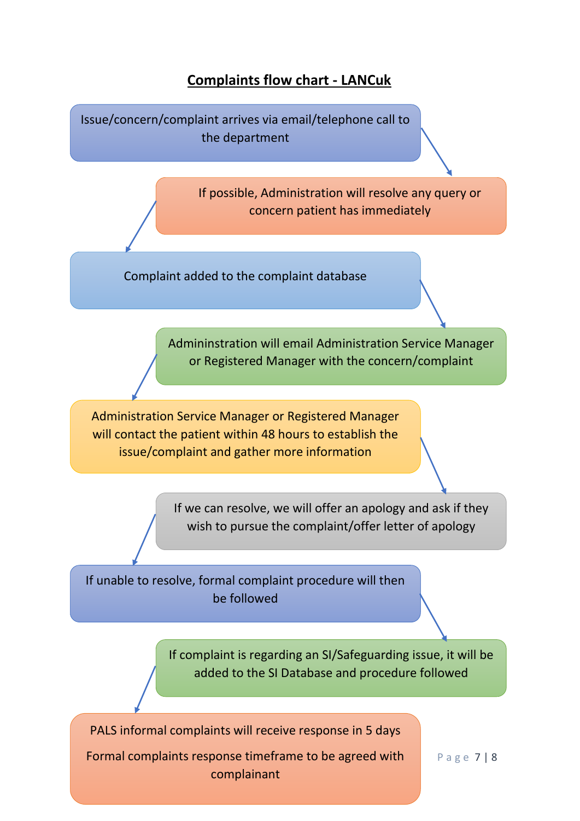# **Complaints flow chart - LANCuk**

Issue/concern/complaint arrives via email/telephone call to the department If possible, Administration will resolve any query or concern patient has immediately Complaint added to the complaint database Admininstration will email Administration Service Manager or Registered Manager with the concern/complaint Administration Service Manager or Registered Manager will contact the patient within 48 hours to establish the issue/complaint and gather more information If we can resolve, we will offer an apology and ask if they wish to pursue the complaint/offer letter of apology If unable to resolve, formal complaint procedure will then be followed If complaint is regarding an SI/Safeguarding issue, it will be added to the SI Database and procedure followed

PALS informal complaints will receive response in 5 days Formal complaints response timeframe to be agreed with

complainant

P a g e 7 | 8